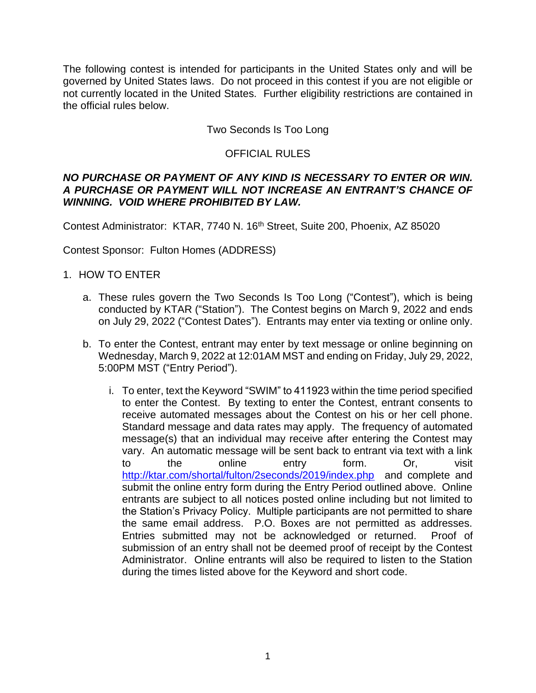The following contest is intended for participants in the United States only and will be governed by United States laws. Do not proceed in this contest if you are not eligible or not currently located in the United States. Further eligibility restrictions are contained in the official rules below.

# Two Seconds Is Too Long

# OFFICIAL RULES

#### *NO PURCHASE OR PAYMENT OF ANY KIND IS NECESSARY TO ENTER OR WIN. A PURCHASE OR PAYMENT WILL NOT INCREASE AN ENTRANT'S CHANCE OF WINNING. VOID WHERE PROHIBITED BY LAW.*

Contest Administrator: KTAR, 7740 N. 16<sup>th</sup> Street, Suite 200, Phoenix, AZ 85020

Contest Sponsor: Fulton Homes (ADDRESS)

## 1. HOW TO ENTER

- a. These rules govern the Two Seconds Is Too Long ("Contest"), which is being conducted by KTAR ("Station"). The Contest begins on March 9, 2022 and ends on July 29, 2022 ("Contest Dates"). Entrants may enter via texting or online only.
- b. To enter the Contest, entrant may enter by text message or online beginning on Wednesday, March 9, 2022 at 12:01AM MST and ending on Friday, July 29, 2022, 5:00PM MST ("Entry Period").
	- i. To enter, text the Keyword "SWIM" to 411923 within the time period specified to enter the Contest. By texting to enter the Contest, entrant consents to receive automated messages about the Contest on his or her cell phone. Standard message and data rates may apply. The frequency of automated message(s) that an individual may receive after entering the Contest may vary. An automatic message will be sent back to entrant via text with a link to the online entry form. Or, visit <http://ktar.com/shortal/fulton/2seconds/2019/index.php> and complete and submit the online entry form during the Entry Period outlined above. Online entrants are subject to all notices posted online including but not limited to the Station's Privacy Policy. Multiple participants are not permitted to share the same email address. P.O. Boxes are not permitted as addresses. Entries submitted may not be acknowledged or returned. Proof of submission of an entry shall not be deemed proof of receipt by the Contest Administrator. Online entrants will also be required to listen to the Station during the times listed above for the Keyword and short code.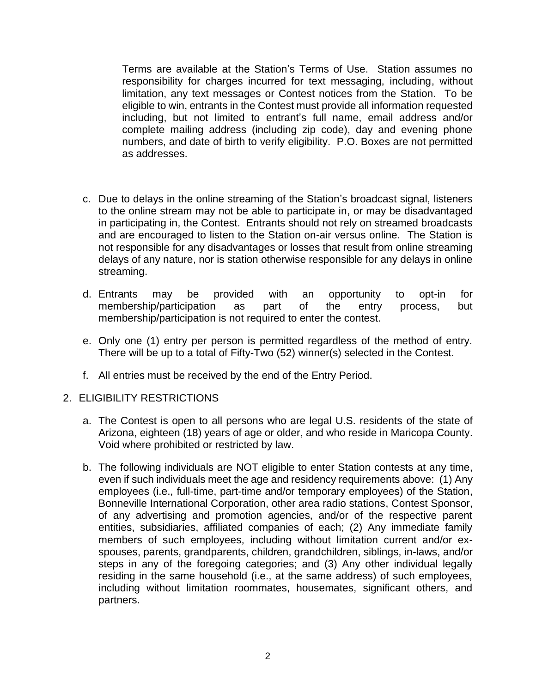Terms are available at the Station's Terms of Use. Station assumes no responsibility for charges incurred for text messaging, including, without limitation, any text messages or Contest notices from the Station. To be eligible to win, entrants in the Contest must provide all information requested including, but not limited to entrant's full name, email address and/or complete mailing address (including zip code), day and evening phone numbers, and date of birth to verify eligibility. P.O. Boxes are not permitted as addresses.

- c. Due to delays in the online streaming of the Station's broadcast signal, listeners to the online stream may not be able to participate in, or may be disadvantaged in participating in, the Contest. Entrants should not rely on streamed broadcasts and are encouraged to listen to the Station on-air versus online. The Station is not responsible for any disadvantages or losses that result from online streaming delays of any nature, nor is station otherwise responsible for any delays in online streaming.
- d. Entrants may be provided with an opportunity to opt-in for membership/participation as part of the entry process, but membership/participation is not required to enter the contest.
- e. Only one (1) entry per person is permitted regardless of the method of entry. There will be up to a total of Fifty-Two (52) winner(s) selected in the Contest.
- f. All entries must be received by the end of the Entry Period.
- 2. ELIGIBILITY RESTRICTIONS
	- a. The Contest is open to all persons who are legal U.S. residents of the state of Arizona, eighteen (18) years of age or older, and who reside in Maricopa County. Void where prohibited or restricted by law.
	- b. The following individuals are NOT eligible to enter Station contests at any time, even if such individuals meet the age and residency requirements above: (1) Any employees (i.e., full-time, part-time and/or temporary employees) of the Station, Bonneville International Corporation, other area radio stations, Contest Sponsor, of any advertising and promotion agencies, and/or of the respective parent entities, subsidiaries, affiliated companies of each; (2) Any immediate family members of such employees, including without limitation current and/or exspouses, parents, grandparents, children, grandchildren, siblings, in-laws, and/or steps in any of the foregoing categories; and (3) Any other individual legally residing in the same household (i.e., at the same address) of such employees, including without limitation roommates, housemates, significant others, and partners.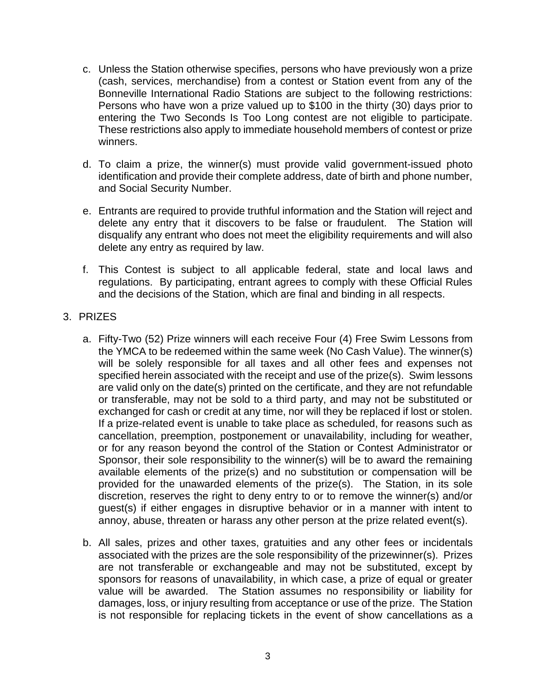- c. Unless the Station otherwise specifies, persons who have previously won a prize (cash, services, merchandise) from a contest or Station event from any of the Bonneville International Radio Stations are subject to the following restrictions: Persons who have won a prize valued up to \$100 in the thirty (30) days prior to entering the Two Seconds Is Too Long contest are not eligible to participate. These restrictions also apply to immediate household members of contest or prize winners.
- d. To claim a prize, the winner(s) must provide valid government-issued photo identification and provide their complete address, date of birth and phone number, and Social Security Number.
- e. Entrants are required to provide truthful information and the Station will reject and delete any entry that it discovers to be false or fraudulent. The Station will disqualify any entrant who does not meet the eligibility requirements and will also delete any entry as required by law.
- f. This Contest is subject to all applicable federal, state and local laws and regulations. By participating, entrant agrees to comply with these Official Rules and the decisions of the Station, which are final and binding in all respects.

## 3. PRIZES

- a. Fifty-Two (52) Prize winners will each receive Four (4) Free Swim Lessons from the YMCA to be redeemed within the same week (No Cash Value). The winner(s) will be solely responsible for all taxes and all other fees and expenses not specified herein associated with the receipt and use of the prize(s). Swim lessons are valid only on the date(s) printed on the certificate, and they are not refundable or transferable, may not be sold to a third party, and may not be substituted or exchanged for cash or credit at any time, nor will they be replaced if lost or stolen. If a prize-related event is unable to take place as scheduled, for reasons such as cancellation, preemption, postponement or unavailability, including for weather, or for any reason beyond the control of the Station or Contest Administrator or Sponsor, their sole responsibility to the winner(s) will be to award the remaining available elements of the prize(s) and no substitution or compensation will be provided for the unawarded elements of the prize(s). The Station, in its sole discretion, reserves the right to deny entry to or to remove the winner(s) and/or guest(s) if either engages in disruptive behavior or in a manner with intent to annoy, abuse, threaten or harass any other person at the prize related event(s).
- b. All sales, prizes and other taxes, gratuities and any other fees or incidentals associated with the prizes are the sole responsibility of the prizewinner(s). Prizes are not transferable or exchangeable and may not be substituted, except by sponsors for reasons of unavailability, in which case, a prize of equal or greater value will be awarded. The Station assumes no responsibility or liability for damages, loss, or injury resulting from acceptance or use of the prize. The Station is not responsible for replacing tickets in the event of show cancellations as a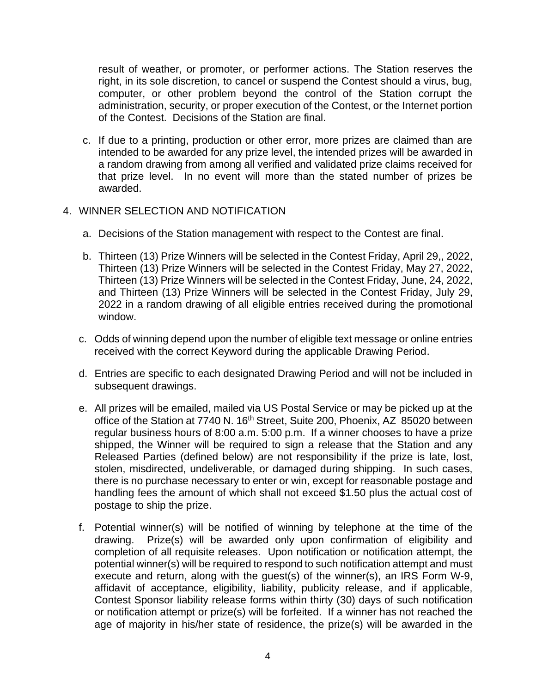result of weather, or promoter, or performer actions. The Station reserves the right, in its sole discretion, to cancel or suspend the Contest should a virus, bug, computer, or other problem beyond the control of the Station corrupt the administration, security, or proper execution of the Contest, or the Internet portion of the Contest. Decisions of the Station are final.

c. If due to a printing, production or other error, more prizes are claimed than are intended to be awarded for any prize level, the intended prizes will be awarded in a random drawing from among all verified and validated prize claims received for that prize level. In no event will more than the stated number of prizes be awarded.

# 4. WINNER SELECTION AND NOTIFICATION

- a. Decisions of the Station management with respect to the Contest are final.
- b. Thirteen (13) Prize Winners will be selected in the Contest Friday, April 29,, 2022, Thirteen (13) Prize Winners will be selected in the Contest Friday, May 27, 2022, Thirteen (13) Prize Winners will be selected in the Contest Friday, June, 24, 2022, and Thirteen (13) Prize Winners will be selected in the Contest Friday, July 29, 2022 in a random drawing of all eligible entries received during the promotional window.
- c. Odds of winning depend upon the number of eligible text message or online entries received with the correct Keyword during the applicable Drawing Period.
- d. Entries are specific to each designated Drawing Period and will not be included in subsequent drawings.
- e. All prizes will be emailed, mailed via US Postal Service or may be picked up at the office of the Station at 7740 N. 16<sup>th</sup> Street, Suite 200, Phoenix, AZ 85020 between regular business hours of 8:00 a.m. 5:00 p.m. If a winner chooses to have a prize shipped, the Winner will be required to sign a release that the Station and any Released Parties (defined below) are not responsibility if the prize is late, lost, stolen, misdirected, undeliverable, or damaged during shipping. In such cases, there is no purchase necessary to enter or win, except for reasonable postage and handling fees the amount of which shall not exceed \$1.50 plus the actual cost of postage to ship the prize.
- f. Potential winner(s) will be notified of winning by telephone at the time of the drawing. Prize(s) will be awarded only upon confirmation of eligibility and completion of all requisite releases. Upon notification or notification attempt, the potential winner(s) will be required to respond to such notification attempt and must execute and return, along with the guest(s) of the winner(s), an IRS Form W-9, affidavit of acceptance, eligibility, liability, publicity release, and if applicable, Contest Sponsor liability release forms within thirty (30) days of such notification or notification attempt or prize(s) will be forfeited. If a winner has not reached the age of majority in his/her state of residence, the prize(s) will be awarded in the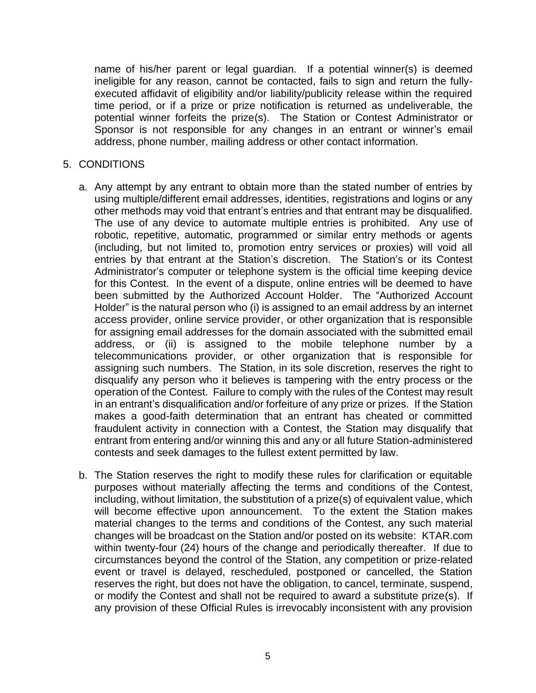name of his/her parent or legal guardian. If a potential winner(s) is deemed ineligible for any reason, cannot be contacted, fails to sign and return the fullyexecuted affidavit of eligibility and/or liability/publicity release within the required time period, or if a prize or prize notification is returned as undeliverable, the potential winner forfeits the prize(s). The Station or Contest Administrator or Sponsor is not responsible for any changes in an entrant or winner's email address, phone number, mailing address or other contact information.

#### 5. CONDITIONS

- a. Any attempt by any entrant to obtain more than the stated number of entries by using multiple/different email addresses, identities, registrations and logins or any other methods may void that entrant's entries and that entrant may be disqualified. The use of any device to automate multiple entries is prohibited. Any use of robotic, repetitive, automatic, programmed or similar entry methods or agents (including, but not limited to, promotion entry services or proxies) will void all entries by that entrant at the Station's discretion. The Station's or its Contest Administrator's computer or telephone system is the official time keeping device for this Contest. In the event of a dispute, online entries will be deemed to have been submitted by the Authorized Account Holder. The "Authorized Account Holder" is the natural person who (i) is assigned to an email address by an internet access provider, online service provider, or other organization that is responsible for assigning email addresses for the domain associated with the submitted email address, or (ii) is assigned to the mobile telephone number by a telecommunications provider, or other organization that is responsible for assigning such numbers. The Station, in its sole discretion, reserves the right to disqualify any person who it believes is tampering with the entry process or the operation of the Contest. Failure to comply with the rules of the Contest may result in an entrant's disqualification and/or forfeiture of any prize or prizes. If the Station makes a good-faith determination that an entrant has cheated or committed fraudulent activity in connection with a Contest, the Station may disqualify that entrant from entering and/or winning this and any or all future Station-administered contests and seek damages to the fullest extent permitted by law.
- b. The Station reserves the right to modify these rules for clarification or equitable purposes without materially affecting the terms and conditions of the Contest, including, without limitation, the substitution of a prize(s) of equivalent value, which will become effective upon announcement. To the extent the Station makes material changes to the terms and conditions of the Contest, any such material changes will be broadcast on the Station and/or posted on its website: KTAR.com within twenty-four (24) hours of the change and periodically thereafter. If due to circumstances beyond the control of the Station, any competition or prize-related event or travel is delayed, rescheduled, postponed or cancelled, the Station reserves the right, but does not have the obligation, to cancel, terminate, suspend, or modify the Contest and shall not be required to award a substitute prize(s). If any provision of these Official Rules is irrevocably inconsistent with any provision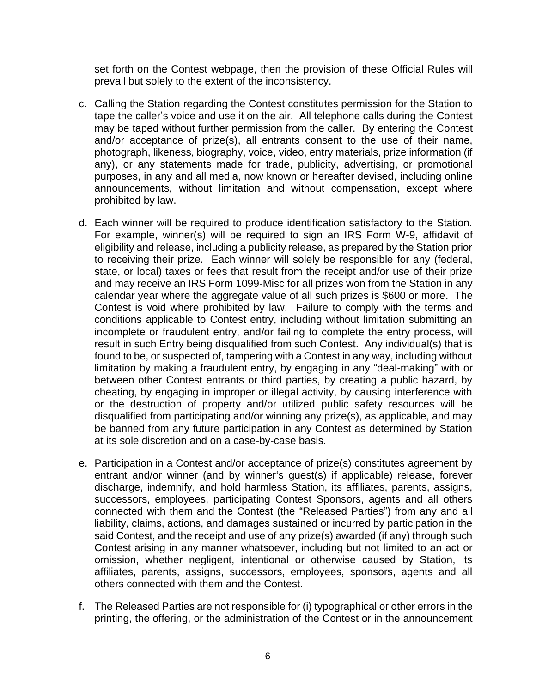set forth on the Contest webpage, then the provision of these Official Rules will prevail but solely to the extent of the inconsistency.

- c. Calling the Station regarding the Contest constitutes permission for the Station to tape the caller's voice and use it on the air. All telephone calls during the Contest may be taped without further permission from the caller. By entering the Contest and/or acceptance of prize(s), all entrants consent to the use of their name, photograph, likeness, biography, voice, video, entry materials, prize information (if any), or any statements made for trade, publicity, advertising, or promotional purposes, in any and all media, now known or hereafter devised, including online announcements, without limitation and without compensation, except where prohibited by law.
- d. Each winner will be required to produce identification satisfactory to the Station. For example, winner(s) will be required to sign an IRS Form W-9, affidavit of eligibility and release, including a publicity release, as prepared by the Station prior to receiving their prize. Each winner will solely be responsible for any (federal, state, or local) taxes or fees that result from the receipt and/or use of their prize and may receive an IRS Form 1099-Misc for all prizes won from the Station in any calendar year where the aggregate value of all such prizes is \$600 or more. The Contest is void where prohibited by law. Failure to comply with the terms and conditions applicable to Contest entry, including without limitation submitting an incomplete or fraudulent entry, and/or failing to complete the entry process, will result in such Entry being disqualified from such Contest. Any individual(s) that is found to be, or suspected of, tampering with a Contest in any way, including without limitation by making a fraudulent entry, by engaging in any "deal-making" with or between other Contest entrants or third parties, by creating a public hazard, by cheating, by engaging in improper or illegal activity, by causing interference with or the destruction of property and/or utilized public safety resources will be disqualified from participating and/or winning any prize(s), as applicable, and may be banned from any future participation in any Contest as determined by Station at its sole discretion and on a case-by-case basis.
- e. Participation in a Contest and/or acceptance of prize(s) constitutes agreement by entrant and/or winner (and by winner's guest(s) if applicable) release, forever discharge, indemnify, and hold harmless Station, its affiliates, parents, assigns, successors, employees, participating Contest Sponsors, agents and all others connected with them and the Contest (the "Released Parties") from any and all liability, claims, actions, and damages sustained or incurred by participation in the said Contest, and the receipt and use of any prize(s) awarded (if any) through such Contest arising in any manner whatsoever, including but not limited to an act or omission, whether negligent, intentional or otherwise caused by Station, its affiliates, parents, assigns, successors, employees, sponsors, agents and all others connected with them and the Contest.
- f. The Released Parties are not responsible for (i) typographical or other errors in the printing, the offering, or the administration of the Contest or in the announcement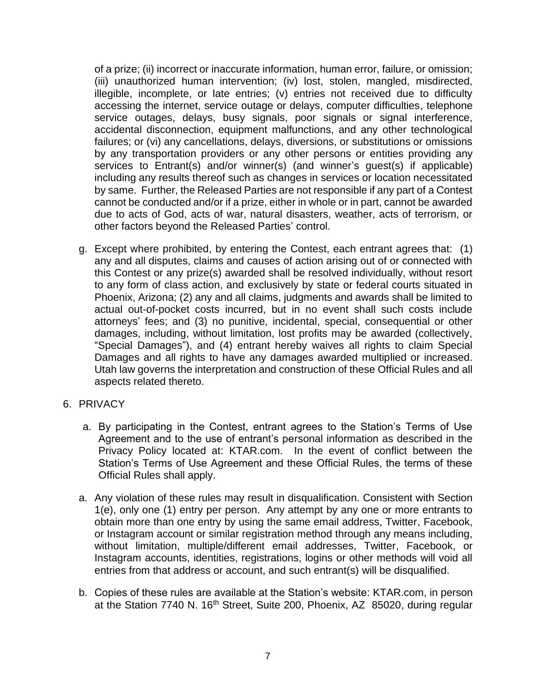of a prize; (ii) incorrect or inaccurate information, human error, failure, or omission; (iii) unauthorized human intervention; (iv) lost, stolen, mangled, misdirected, illegible, incomplete, or late entries; (v) entries not received due to difficulty accessing the internet, service outage or delays, computer difficulties, telephone service outages, delays, busy signals, poor signals or signal interference, accidental disconnection, equipment malfunctions, and any other technological failures; or (vi) any cancellations, delays, diversions, or substitutions or omissions by any transportation providers or any other persons or entities providing any services to Entrant(s) and/or winner(s) (and winner's guest(s) if applicable) including any results thereof such as changes in services or location necessitated by same. Further, the Released Parties are not responsible if any part of a Contest cannot be conducted and/or if a prize, either in whole or in part, cannot be awarded due to acts of God, acts of war, natural disasters, weather, acts of terrorism, or other factors beyond the Released Parties' control.

- g. Except where prohibited, by entering the Contest, each entrant agrees that: (1) any and all disputes, claims and causes of action arising out of or connected with this Contest or any prize(s) awarded shall be resolved individually, without resort to any form of class action, and exclusively by state or federal courts situated in Phoenix, Arizona; (2) any and all claims, judgments and awards shall be limited to actual out-of-pocket costs incurred, but in no event shall such costs include attorneys' fees; and (3) no punitive, incidental, special, consequential or other damages, including, without limitation, lost profits may be awarded (collectively, "Special Damages"), and (4) entrant hereby waives all rights to claim Special Damages and all rights to have any damages awarded multiplied or increased. Utah law governs the interpretation and construction of these Official Rules and all aspects related thereto.
- 6. PRIVACY
	- a. By participating in the Contest, entrant agrees to the Station's Terms of Use Agreement and to the use of entrant's personal information as described in the Privacy Policy located at: KTAR.com. In the event of conflict between the Station's Terms of Use Agreement and these Official Rules, the terms of these Official Rules shall apply.
	- a. Any violation of these rules may result in disqualification. Consistent with Section 1(e), only one (1) entry per person. Any attempt by any one or more entrants to obtain more than one entry by using the same email address, Twitter, Facebook, or Instagram account or similar registration method through any means including, without limitation, multiple/different email addresses, Twitter, Facebook, or Instagram accounts, identities, registrations, logins or other methods will void all entries from that address or account, and such entrant(s) will be disqualified.
	- b. Copies of these rules are available at the Station's website: KTAR.com, in person at the Station 7740 N. 16<sup>th</sup> Street, Suite 200, Phoenix, AZ 85020, during regular